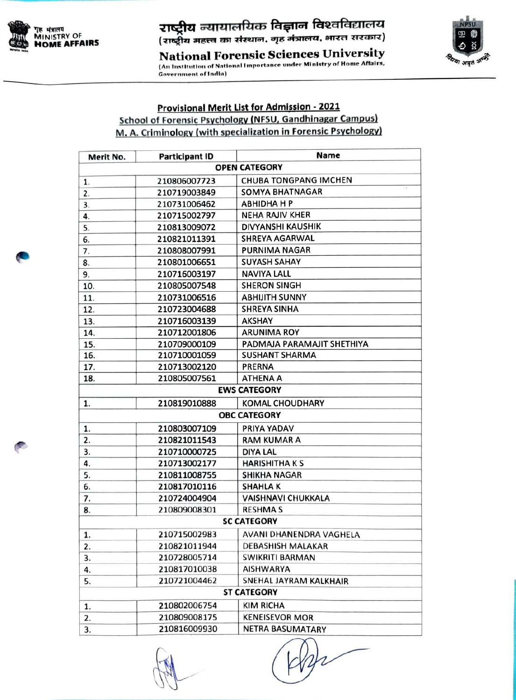

## **राष्ट्रीय** न्यायालयिक विज्ञान विश्वविद्यालय<br>(राष्ट्रीय महत्त्व का संस्थान, गृह मंत्रालय, भारत सरकार)

**National Forensic Sciences University** (An Institution of National Importance under Ministry of Home Affairs, **Government of India)** 



## **Provisional Merit List for Admission - 2021 School of Forensic Psychology (NFSU, Gandhinagar Campus)** M. A. Criminology (with specialization in Forensic Psychology)

| Merit No.           | <b>Participant ID</b> | Name                         |
|---------------------|-----------------------|------------------------------|
|                     |                       | <b>OPEN CATEGORY</b>         |
| 1.                  | 210806007723          | <b>CHUBA TONGPANG IMCHEN</b> |
| 2.                  | 210719003849          | <b>SOMYA BHATNAGAR</b>       |
| 3.                  | 210731006462          | <b>ABHIDHA H P</b>           |
| 4.                  | 210715002797          | <b>NEHA RAJIV KHER</b>       |
| 5.                  | 210813009072          | DIVYANSHI KAUSHIK            |
| 6.                  | 210821011391          | <b>SHREYA AGARWAL</b>        |
| 7.                  | 210808007991          | <b>PURNIMA NAGAR</b>         |
| 8.                  | 210801006651          | <b>SUYASH SAHAY</b>          |
| 9.                  | 210716003197          | <b>NAVIYA LALL</b>           |
| 10.                 | 210805007548          | <b>SHERON SINGH</b>          |
| 11.                 | 210731006516          | <b>ABHIJITH SUNNY</b>        |
| 12.                 | 210723004688          | <b>SHREYA SINHA</b>          |
| 13.                 | 210716003139          | <b>AKSHAY</b>                |
| 14.                 | 210712001806          | <b>ARUNIMA ROY</b>           |
| 15.                 | 210709000109          | PADMAJA PARAMAJIT SHETHIYA   |
| 16.                 | 210710001059          | <b>SUSHANT SHARMA</b>        |
| 17.                 | 210713002120          | PRERNA                       |
| 18.                 | 210805007561          | <b>ATHENA A</b>              |
| <b>EWS CATEGORY</b> |                       |                              |
| 1.                  | 210819010888          | <b>KOMAL CHOUDHARY</b>       |
| <b>OBC CATEGORY</b> |                       |                              |
| 1.                  | 210803007109          | PRIYA YADAV                  |
| 2.                  | 210821011543          | <b>RAM KUMAR A</b>           |
| 3.                  | 210710000725          | <b>DIYA LAL</b>              |
| 4.                  | 210713002177          | <b>HARISHITHAKS</b>          |
| 5.                  | 210811008755          | <b>SHIKHA NAGAR</b>          |
| 6.                  | 210817010116          | <b>SHAHLAK</b>               |
| 7.                  | 210724004904          | <b>VAISHNAVI CHUKKALA</b>    |
| 8.                  | 210809008301          | <b>RESHMAS</b>               |
|                     |                       | <b>SC CATEGORY</b>           |
| 1.                  | 210715002983          | AVANI DHANENDRA VAGHELA      |
| 2.                  | 210821011944          | <b>DEBASHISH MALAKAR</b>     |
| 3.                  | 210728005714          | <b>SWIKRITI BARMAN</b>       |
| 4.                  | 210817010038          | <b>AISHWARYA</b>             |
| 5.                  | 210721004462          | SNEHAL JAYRAM KALKHAIR       |
|                     |                       | <b>ST CATEGORY</b>           |
| 1.                  | 210802006754          | <b>KIM RICHA</b>             |
| 2.                  | 210809008175          | <b>KENEISEVOR MOR</b>        |
| 3.                  | 210816009930          | <b>NETRA BASUMATARY</b>      |
|                     |                       |                              |

Bar